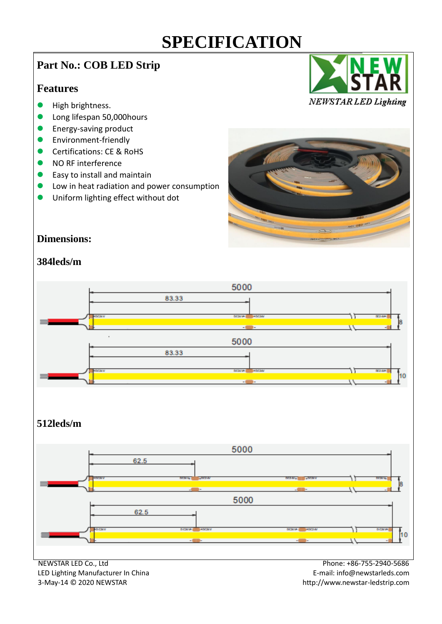## **Part No.: COB LED Strip**

#### **Features**

- **•** High brightness.
- **Long lifespan 50,000 hours**
- Energy-saving product
- Environment-friendly
- Certifications: CE & RoHS
- NO RF interference
- Easy to install and maintain
- Low in heat radiation and power consumption
- Uniform lighting effect without dot





#### **Dimensions:**

#### **384leds/m**



3-May-14 © 2020 NEWSTAR http://www.newstar-ledstrip.com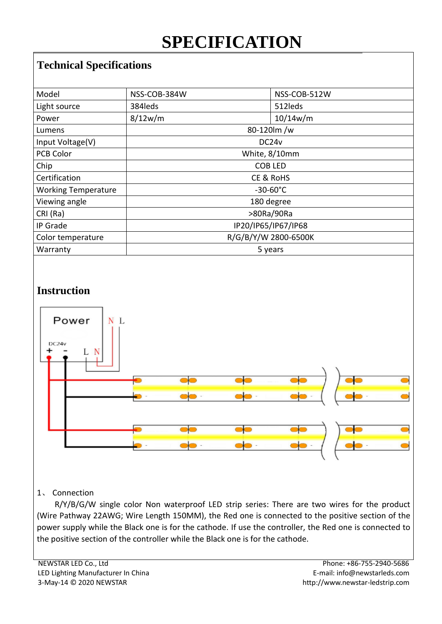## **Technical Specifications**

| NSS-COB-384W         |  | NSS-COB-512W |
|----------------------|--|--------------|
| 384leds              |  | 512 leds     |
| 8/12w/m              |  | 10/14w/m     |
| 80-120m/w            |  |              |
| DC <sub>24</sub> v   |  |              |
| White, 8/10mm        |  |              |
| <b>COB LED</b>       |  |              |
| CE & RoHS            |  |              |
| $-30-60^{\circ}$ C   |  |              |
| 180 degree           |  |              |
| >80Ra/90Ra           |  |              |
| IP20/IP65/IP67/IP68  |  |              |
| R/G/B/Y/W 2800-6500K |  |              |
| 5 years              |  |              |
|                      |  |              |

## **Instruction**



#### 1、 Connection

R/Y/B/G/W single color Non waterproof LED strip series: There are two wires for the product (Wire Pathway 22AWG; Wire Length 150MM), the Red one is connected to the positive section of the power supply while the Black one is for the cathode. If use the controller, the Red one is connected to the positive section of the controller while the Black one is for the cathode.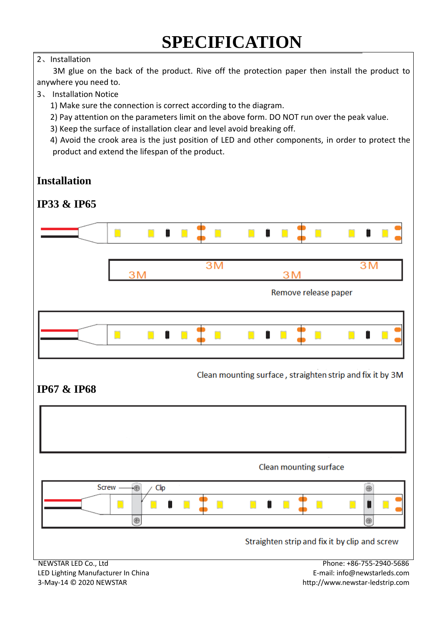#### 2、Installation

3M glue on the back of the product. Rive off the protection paper then install the product to anywhere you need to.

#### 3、 Installation Notice

1) Make sure the connection is correct according to the diagram.

2) Pay attention on the parameters limit on the above form. DO NOT run over the peak value.

3) Keep the surface of installation clear and level avoid breaking off.

4) Avoid the crook area is the just position of LED and other components, in order to protect the product and extend the lifespan of the product.

## **Installation**